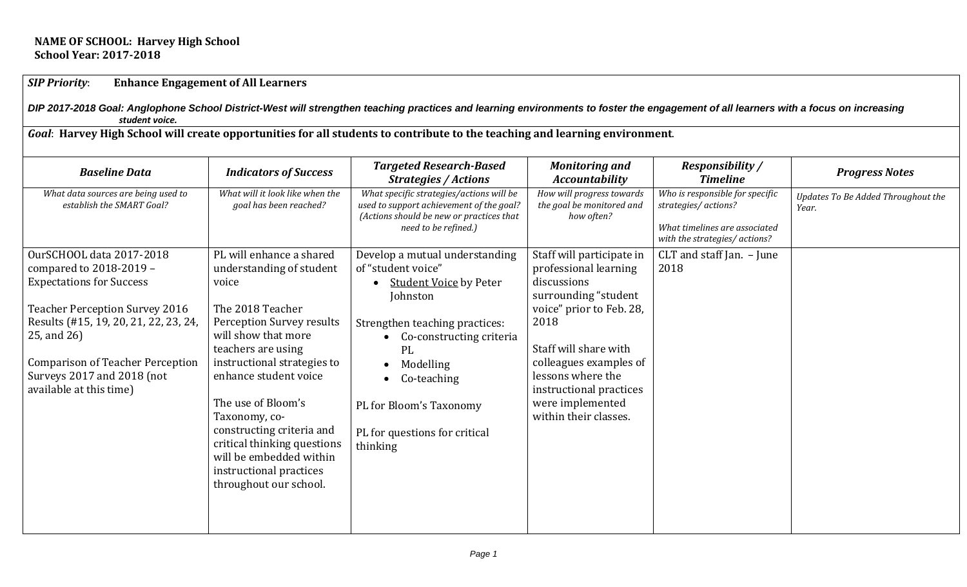#### **NAME OF SCHOOL: Harvey High School School Year: 2017-2018**

## *SIP Priority*: **Enhance Engagement of All Learners**

*DIP 2017-2018 Goal: Anglophone School District-West will strengthen teaching practices and learning environments to foster the engagement of all learners with a focus on increasing student voice.*

*Goal*: **Harvey High School will create opportunities for all students to contribute to the teaching and learning environment**.

| <b>Baseline Data</b>                                                                                                                                                                                                                                                                               | <b>Indicators of Success</b>                                                                                                                                                                                                                                                                                                                                                                           | <b>Targeted Research-Based</b><br><b>Strategies / Actions</b>                                                                                                                                                                                                             | <b>Monitoring and</b><br><b>Accountability</b>                                                                                                                                                                                                                                | <b>Responsibility</b> /<br><b>Timeline</b>                                                                               | <b>Progress Notes</b>                       |
|----------------------------------------------------------------------------------------------------------------------------------------------------------------------------------------------------------------------------------------------------------------------------------------------------|--------------------------------------------------------------------------------------------------------------------------------------------------------------------------------------------------------------------------------------------------------------------------------------------------------------------------------------------------------------------------------------------------------|---------------------------------------------------------------------------------------------------------------------------------------------------------------------------------------------------------------------------------------------------------------------------|-------------------------------------------------------------------------------------------------------------------------------------------------------------------------------------------------------------------------------------------------------------------------------|--------------------------------------------------------------------------------------------------------------------------|---------------------------------------------|
| What data sources are being used to<br>establish the SMART Goal?                                                                                                                                                                                                                                   | What will it look like when the<br>goal has been reached?                                                                                                                                                                                                                                                                                                                                              | What specific strategies/actions will be<br>used to support achievement of the goal?<br>(Actions should be new or practices that<br>need to be refined.)                                                                                                                  | How will progress towards<br>the goal be monitored and<br>how often?                                                                                                                                                                                                          | Who is responsible for specific<br>strategies/actions?<br>What timelines are associated<br>with the strategies/ actions? | Updates To Be Added Throughout the<br>Year. |
| <b>OurSCHOOL data 2017-2018</b><br>compared to 2018-2019 -<br><b>Expectations for Success</b><br><b>Teacher Perception Survey 2016</b><br>Results (#15, 19, 20, 21, 22, 23, 24,<br>25, and 26)<br><b>Comparison of Teacher Perception</b><br>Surveys 2017 and 2018 (not<br>available at this time) | PL will enhance a shared<br>understanding of student<br>voice<br>The 2018 Teacher<br>Perception Survey results<br>will show that more<br>teachers are using<br>instructional strategies to<br>enhance student voice<br>The use of Bloom's<br>Taxonomy, co-<br>constructing criteria and<br>critical thinking questions<br>will be embedded within<br>instructional practices<br>throughout our school. | Develop a mutual understanding<br>of "student voice"<br><b>Student Voice by Peter</b><br>Johnston<br>Strengthen teaching practices:<br>Co-constructing criteria<br>PL<br>Modelling<br>Co-teaching<br>PL for Bloom's Taxonomy<br>PL for questions for critical<br>thinking | Staff will participate in<br>professional learning<br>discussions<br>surrounding "student<br>voice" prior to Feb. 28,<br>2018<br>Staff will share with<br>colleagues examples of<br>lessons where the<br>instructional practices<br>were implemented<br>within their classes. | $CLT$ and staff Jan. $-$ June<br>2018                                                                                    |                                             |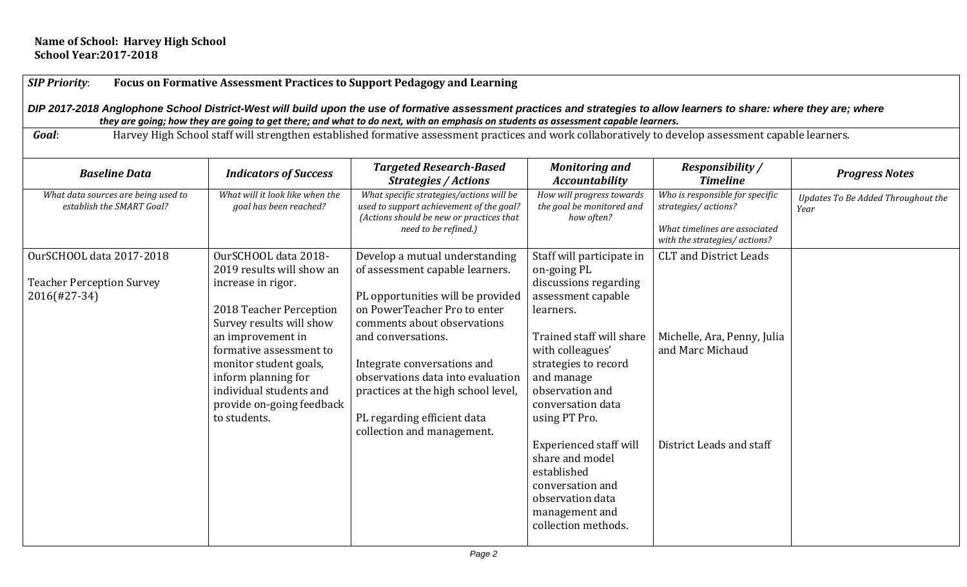# *SIP Priority*: **Focus on Formative Assessment Practices to Support Pedagogy and Learning**

DIP 2017-2018 Anglophone School District-West will build upon the use of formative assessment practices and strategies to allow learners to share: where they are; where  *they are going; how they are going to get there; and what to do next, with an emphasis on students as assessment capable learners.*

*Goal*: Harvey High School staff will strengthen established formative assessment practices and work collaboratively to develop assessment capable learners.

| <b>Baseline Data</b>                                                                | <b>Indicators of Success</b>                                                                                                                                                                                                                                                                            | <b>Targeted Research-Based</b><br><b>Strategies / Actions</b>                                                                                                                                                                                                                                                                                                       | <b>Monitoring and</b><br><b>Accountability</b>                                                                                                                                                                                                                                                                                                                                                          | <b>Responsibility</b> /<br><b>Timeline</b>                                                                               | <b>Progress Notes</b>                      |
|-------------------------------------------------------------------------------------|---------------------------------------------------------------------------------------------------------------------------------------------------------------------------------------------------------------------------------------------------------------------------------------------------------|---------------------------------------------------------------------------------------------------------------------------------------------------------------------------------------------------------------------------------------------------------------------------------------------------------------------------------------------------------------------|---------------------------------------------------------------------------------------------------------------------------------------------------------------------------------------------------------------------------------------------------------------------------------------------------------------------------------------------------------------------------------------------------------|--------------------------------------------------------------------------------------------------------------------------|--------------------------------------------|
| What data sources are being used to<br>establish the SMART Goal?                    | What will it look like when the<br>goal has been reached?                                                                                                                                                                                                                                               | What specific strategies/actions will be<br>used to support achievement of the goal?<br>(Actions should be new or practices that<br>need to be refined.)                                                                                                                                                                                                            | How will progress towards<br>the goal be monitored and<br>how often?                                                                                                                                                                                                                                                                                                                                    | Who is responsible for specific<br>strategies/actions?<br>What timelines are associated<br>with the strategies/ actions? | Updates To Be Added Throughout the<br>Year |
| <b>OurSCHOOL data 2017-2018</b><br><b>Teacher Perception Survey</b><br>2016(#27-34) | OurSCHOOL data 2018-<br>2019 results will show an<br>increase in rigor.<br>2018 Teacher Perception<br>Survey results will show<br>an improvement in<br>formative assessment to<br>monitor student goals,<br>inform planning for<br>individual students and<br>provide on-going feedback<br>to students. | Develop a mutual understanding<br>of assessment capable learners.<br>PL opportunities will be provided<br>on PowerTeacher Pro to enter<br>comments about observations<br>and conversations.<br>Integrate conversations and<br>observations data into evaluation<br>practices at the high school level,<br>PL regarding efficient data<br>collection and management. | Staff will participate in<br>on-going PL<br>discussions regarding<br>assessment capable<br>learners.<br>Trained staff will share<br>with colleagues'<br>strategies to record<br>and manage<br>observation and<br>conversation data<br>using PT Pro.<br><b>Experienced staff will</b><br>share and model<br>established<br>conversation and<br>observation data<br>management and<br>collection methods. | <b>CLT</b> and District Leads<br>Michelle, Ara, Penny, Julia<br>and Marc Michaud<br>District Leads and staff             |                                            |